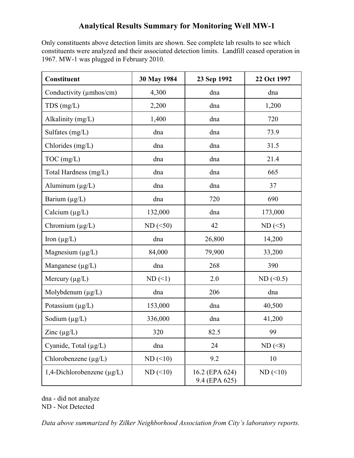## **Analytical Results Summary for Monitoring Well MW-1**

Only constituents above detection limits are shown. See complete lab results to see which constituents were analyzed and their associated detection limits. Landfill ceased operation in 1967. MW-1 was plugged in February 2010.

| Constituent                     | 30 May 1984 | 23 Sep 1992                     | 22 Oct 1997 |  |
|---------------------------------|-------------|---------------------------------|-------------|--|
| Conductivity (umhos/cm)         | 4,300       | dna                             | dna         |  |
| $TDS$ (mg/L)                    | 2,200       | dna                             | 1,200       |  |
| Alkalinity (mg/L)               | 1,400       | dna                             | 720         |  |
| Sulfates (mg/L)                 | dna         | dna                             | 73.9        |  |
| Chlorides (mg/L)                | dna         | dna                             | 31.5        |  |
| $TOC$ (mg/L)                    | dna         | dna                             | 21.4        |  |
| Total Hardness (mg/L)           | dna         | dna                             | 665         |  |
| Aluminum $(\mu g/L)$            | dna         | dna                             | 37          |  |
| Barium $(\mu g/L)$              | dna         | 720                             | 690         |  |
| Calcium $(\mu g/L)$             | 132,000     | dna                             | 173,000     |  |
| Chromium (µg/L)                 | $ND$ (<50)  | 42                              | $ND$ (<5)   |  |
| Iron $(\mu g/L)$                | dna         | 26,800                          | 14,200      |  |
| Magnesium (µg/L)                | 84,000      | 79,900                          | 33,200      |  |
| Manganese (µg/L)                | dna         | 268                             | 390         |  |
| Mercury $(\mu g/L)$             | $ND$ (<1)   | 2.0                             | $ND$ (<0.5) |  |
| Molybdenum (μg/L)               | dna         | 206                             | dna         |  |
| Potassium (µg/L)                | 153,000     | dna                             | 40,500      |  |
| Sodium $(\mu g/L)$              | 336,000     | dna                             | 41,200      |  |
| Zinc $(\mu g/L)$                | 320         | 82.5                            | 99          |  |
| Cyanide, Total $(\mu g/L)$      | dna         | 24                              | $ND$ (<8)   |  |
| Chlorobenzene $(\mu g/L)$       | $ND$ (<10)  | 9.2                             | 10          |  |
| 1,4-Dichlorobenzene $(\mu g/L)$ | $ND$ (<10)  | 16.2 (EPA 624)<br>9.4 (EPA 625) | $ND$ (<10)  |  |

dna - did not analyze

ND - Not Detected

*Data above summarized by Zilker Neighborhood Association from City's laboratory reports.*